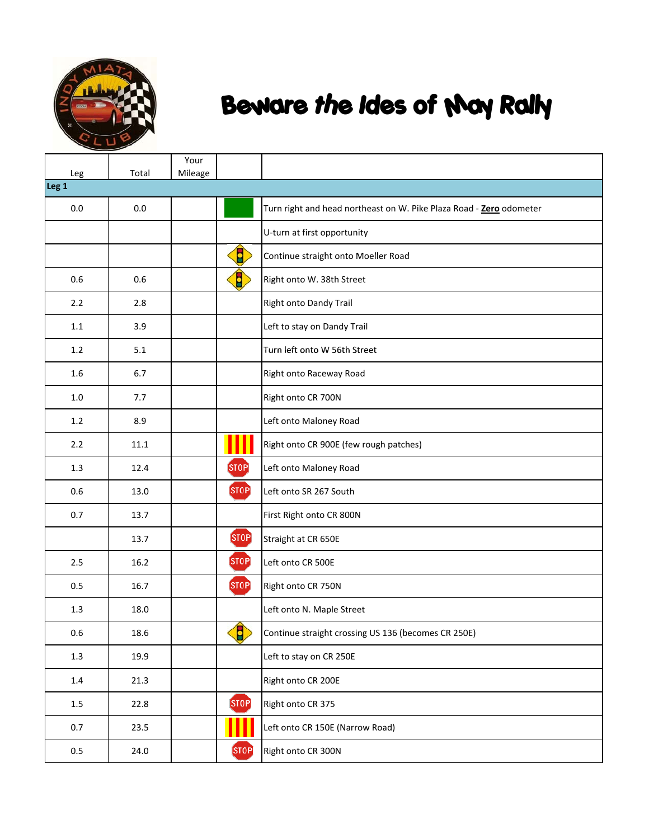

| Leg              | Total | Your<br>Mileage |                  |                                                                     |
|------------------|-------|-----------------|------------------|---------------------------------------------------------------------|
| Leg <sub>1</sub> |       |                 |                  |                                                                     |
| 0.0              | 0.0   |                 |                  | Turn right and head northeast on W. Pike Plaza Road - Zero odometer |
|                  |       |                 |                  | U-turn at first opportunity                                         |
|                  |       |                 | $\blacksquare$   | Continue straight onto Moeller Road                                 |
| 0.6              | 0.6   |                 | 8                | Right onto W. 38th Street                                           |
| 2.2              | 2.8   |                 |                  | Right onto Dandy Trail                                              |
| 1.1              | 3.9   |                 |                  | Left to stay on Dandy Trail                                         |
| 1.2              | 5.1   |                 |                  | Turn left onto W 56th Street                                        |
| 1.6              | 6.7   |                 |                  | Right onto Raceway Road                                             |
| 1.0              | 7.7   |                 |                  | Right onto CR 700N                                                  |
| 1.2              | 8.9   |                 |                  | Left onto Maloney Road                                              |
| 2.2              | 11.1  |                 |                  | Right onto CR 900E (few rough patches)                              |
| 1.3              | 12.4  |                 | <b>STOP</b>      | Left onto Maloney Road                                              |
| 0.6              | 13.0  |                 | STOP <sup></sup> | Left onto SR 267 South                                              |
| 0.7              | 13.7  |                 |                  | First Right onto CR 800N                                            |
|                  | 13.7  |                 | <b>STOP</b>      | Straight at CR 650E                                                 |
| 2.5              | 16.2  |                 | [STOP]           | Left onto CR 500E                                                   |
| 0.5              | 16.7  |                 | STOP             | Right onto CR 750N                                                  |
| 1.3              | 18.0  |                 |                  | Left onto N. Maple Street                                           |
| $0.6\,$          | 18.6  |                 | $\bullet$        | Continue straight crossing US 136 (becomes CR 250E)                 |
| $1.3\,$          | 19.9  |                 |                  | Left to stay on CR 250E                                             |
| $1.4\,$          | 21.3  |                 |                  | Right onto CR 200E                                                  |
| $1.5\,$          | 22.8  |                 | <b>STOP</b>      | Right onto CR 375                                                   |
| 0.7              | 23.5  |                 |                  | Left onto CR 150E (Narrow Road)                                     |
| $0.5\,$          | 24.0  |                 | <b>STOP</b>      | Right onto CR 300N                                                  |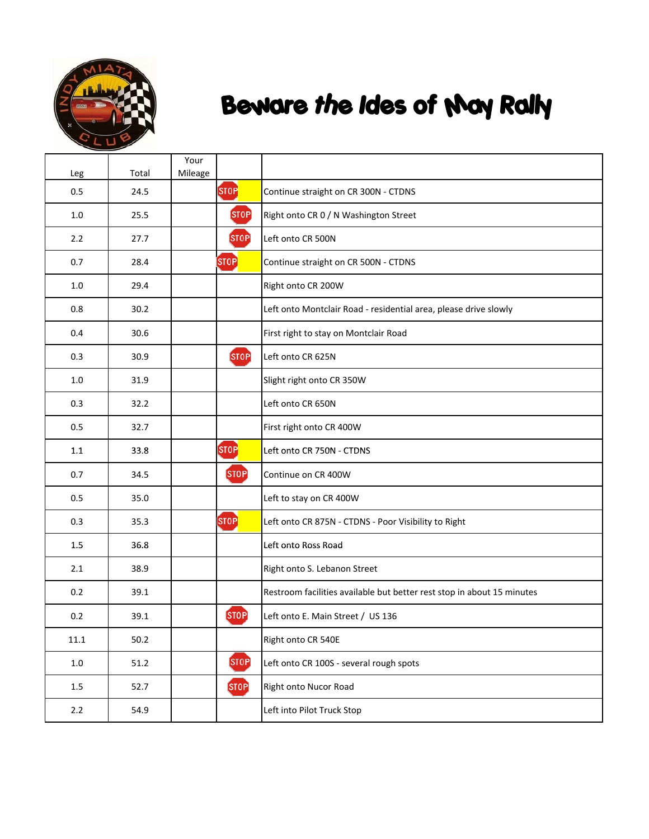

| Leg      | Total  | Your<br>Mileage |                   |                                                                        |
|----------|--------|-----------------|-------------------|------------------------------------------------------------------------|
| 0.5      | 24.5   |                 | ST <sub>OP</sub>  | Continue straight on CR 300N - CTDNS                                   |
| 1.0      | 25.5   |                 | <b>STOP</b>       | Right onto CR 0 / N Washington Street                                  |
| 2.2      | 27.7   |                 | STOP <sup></sup>  | Left onto CR 500N                                                      |
| 0.7      | 28.4   |                 | $[{\tt STOP}]$    | Continue straight on CR 500N - CTDNS                                   |
| 1.0      | 29.4   |                 |                   | Right onto CR 200W                                                     |
| 0.8      | 30.2   |                 |                   | Left onto Montclair Road - residential area, please drive slowly       |
| 0.4      | 30.6   |                 |                   | First right to stay on Montclair Road                                  |
| 0.3      | 30.9   |                 | <b>STOP</b>       | Left onto CR 625N                                                      |
| 1.0      | 31.9   |                 |                   | Slight right onto CR 350W                                              |
| 0.3      | 32.2   |                 |                   | Left onto CR 650N                                                      |
| 0.5      | 32.7   |                 |                   | First right onto CR 400W                                               |
| 1.1      | 33.8   |                 | <b>STOP</b>       | Left onto CR 750N - CTDNS                                              |
| 0.7      | 34.5   |                 | STOP <sup>1</sup> | Continue on CR 400W                                                    |
| 0.5      | 35.0   |                 |                   | Left to stay on CR 400W                                                |
| 0.3      | 35.3   |                 | STOP              | Left onto CR 875N - CTDNS - Poor Visibility to Right                   |
| 1.5      | 36.8   |                 |                   | Left onto Ross Road                                                    |
| 2.1      | 38.9   |                 |                   | Right onto S. Lebanon Street                                           |
| 0.2      | 39.1   |                 |                   | Restroom facilities available but better rest stop in about 15 minutes |
| 0.2      | 39.1   |                 | <b>STOP</b>       | Left onto E. Main Street / US 136                                      |
| $11.1\,$ | $50.2$ |                 |                   | Right onto CR 540E                                                     |
| $1.0\,$  | 51.2   |                 | STOP <sup></sup>  | Left onto CR 100S - several rough spots                                |
| 1.5      | 52.7   |                 | <b>STOP</b>       | Right onto Nucor Road                                                  |
| $2.2\,$  | 54.9   |                 |                   | Left into Pilot Truck Stop                                             |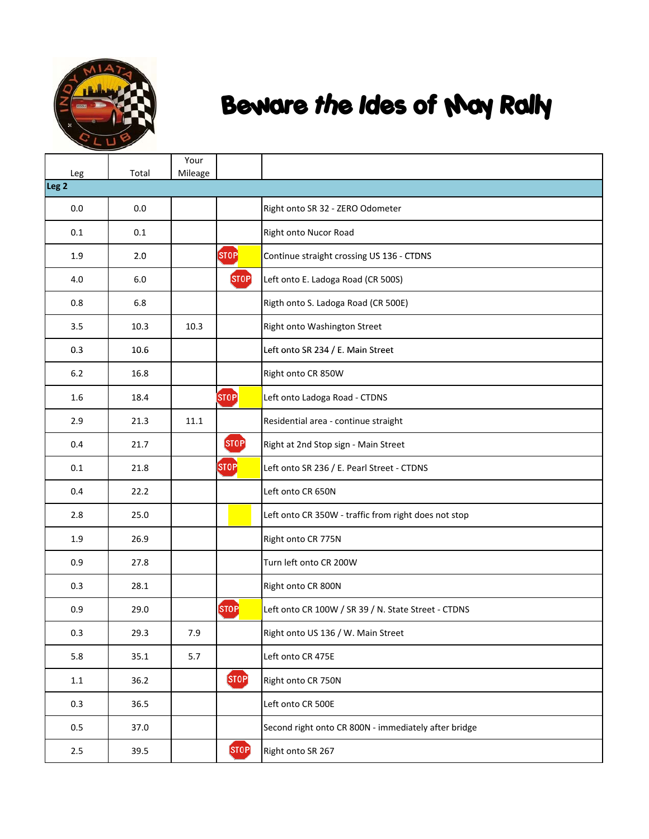

| Leg              | Total | Your<br>Mileage |                           |                                                      |
|------------------|-------|-----------------|---------------------------|------------------------------------------------------|
| Leg <sub>2</sub> |       |                 |                           |                                                      |
| 0.0              | 0.0   |                 |                           | Right onto SR 32 - ZERO Odometer                     |
| 0.1              | 0.1   |                 |                           | Right onto Nucor Road                                |
| 1.9              | 2.0   |                 | STOP                      | Continue straight crossing US 136 - CTDNS            |
| 4.0              | 6.0   |                 | <b>STOP</b>               | Left onto E. Ladoga Road (CR 500S)                   |
| 0.8              | 6.8   |                 |                           | Rigth onto S. Ladoga Road (CR 500E)                  |
| 3.5              | 10.3  | 10.3            |                           | Right onto Washington Street                         |
| 0.3              | 10.6  |                 |                           | Left onto SR 234 / E. Main Street                    |
| 6.2              | 16.8  |                 |                           | Right onto CR 850W                                   |
| 1.6              | 18.4  |                 | STOP <sup></sup>          | Left onto Ladoga Road - CTDNS                        |
| 2.9              | 21.3  | 11.1            |                           | Residential area - continue straight                 |
| 0.4              | 21.7  |                 | <b>STOP</b>               | Right at 2nd Stop sign - Main Street                 |
| 0.1              | 21.8  |                 | STOP                      | Left onto SR 236 / E. Pearl Street - CTDNS           |
| 0.4              | 22.2  |                 |                           | Left onto CR 650N                                    |
| 2.8              | 25.0  |                 |                           | Left onto CR 350W - traffic from right does not stop |
| 1.9              | 26.9  |                 |                           | Right onto CR 775N                                   |
| 0.9              | 27.8  |                 |                           | Turn left onto CR 200W                               |
| 0.3              | 28.1  |                 |                           | Right onto CR 800N                                   |
| 0.9              | 29.0  |                 | $[{\small\texttt{STOP}}]$ | Left onto CR 100W / SR 39 / N. State Street - CTDNS  |
| 0.3              | 29.3  | 7.9             |                           | Right onto US 136 / W. Main Street                   |
| 5.8              | 35.1  | 5.7             |                           | Left onto CR 475E                                    |
| $1.1\,$          | 36.2  |                 | <b>STOP</b>               | Right onto CR 750N                                   |
| 0.3              | 36.5  |                 |                           | Left onto CR 500E                                    |
| 0.5              | 37.0  |                 |                           | Second right onto CR 800N - immediately after bridge |
| $2.5\,$          | 39.5  |                 | <b>STOP</b>               | Right onto SR 267                                    |